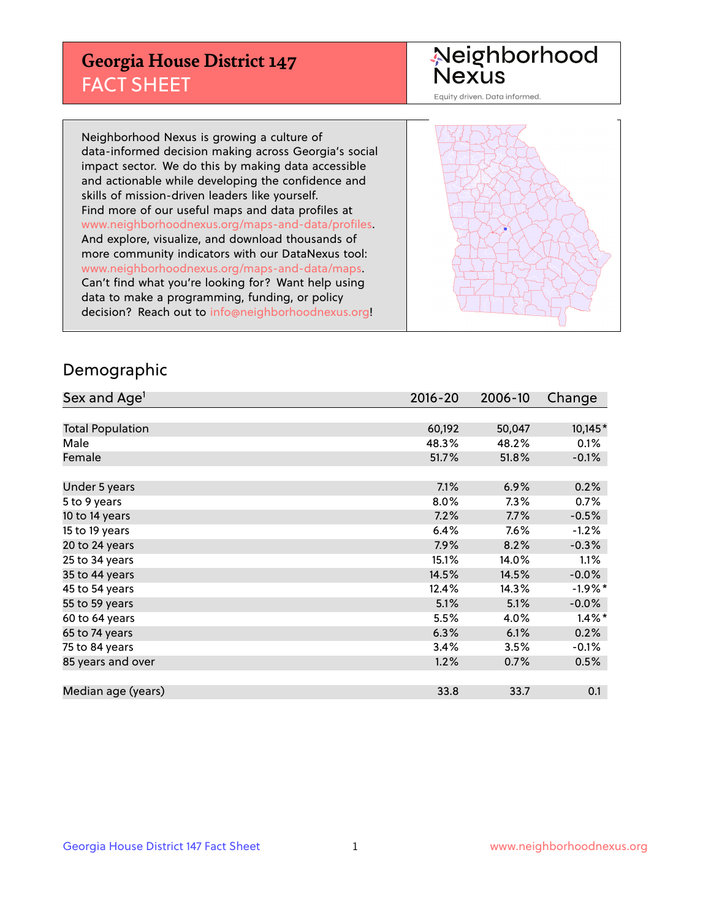## **Georgia House District 147** FACT SHEET

# Neighborhood<br>Nexus

Equity driven. Data informed.

Neighborhood Nexus is growing a culture of data-informed decision making across Georgia's social impact sector. We do this by making data accessible and actionable while developing the confidence and skills of mission-driven leaders like yourself. Find more of our useful maps and data profiles at www.neighborhoodnexus.org/maps-and-data/profiles. And explore, visualize, and download thousands of more community indicators with our DataNexus tool: www.neighborhoodnexus.org/maps-and-data/maps. Can't find what you're looking for? Want help using data to make a programming, funding, or policy decision? Reach out to [info@neighborhoodnexus.org!](mailto:info@neighborhoodnexus.org)



### Demographic

| Sex and Age <sup>1</sup> | $2016 - 20$ | 2006-10 | Change     |
|--------------------------|-------------|---------|------------|
|                          |             |         |            |
| <b>Total Population</b>  | 60,192      | 50,047  | 10,145*    |
| Male                     | 48.3%       | 48.2%   | 0.1%       |
| Female                   | 51.7%       | 51.8%   | $-0.1\%$   |
|                          |             |         |            |
| Under 5 years            | 7.1%        | 6.9%    | 0.2%       |
| 5 to 9 years             | 8.0%        | 7.3%    | 0.7%       |
| 10 to 14 years           | 7.2%        | 7.7%    | $-0.5%$    |
| 15 to 19 years           | 6.4%        | 7.6%    | $-1.2%$    |
| 20 to 24 years           | 7.9%        | 8.2%    | $-0.3%$    |
| 25 to 34 years           | 15.1%       | 14.0%   | $1.1\%$    |
| 35 to 44 years           | 14.5%       | 14.5%   | $-0.0%$    |
| 45 to 54 years           | 12.4%       | 14.3%   | $-1.9\%$ * |
| 55 to 59 years           | 5.1%        | 5.1%    | $-0.0\%$   |
| 60 to 64 years           | 5.5%        | 4.0%    | $1.4\%$ *  |
| 65 to 74 years           | 6.3%        | 6.1%    | 0.2%       |
| 75 to 84 years           | 3.4%        | 3.5%    | $-0.1%$    |
| 85 years and over        | 1.2%        | 0.7%    | 0.5%       |
|                          |             |         |            |
| Median age (years)       | 33.8        | 33.7    | 0.1        |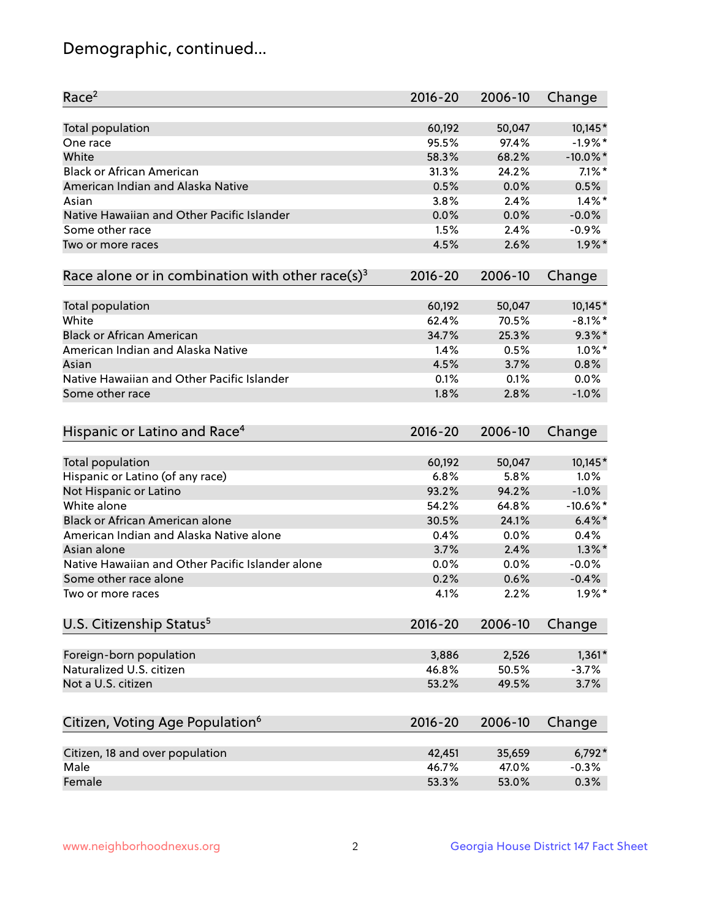## Demographic, continued...

| Race <sup>2</sup>                                            | $2016 - 20$    | 2006-10        | Change              |
|--------------------------------------------------------------|----------------|----------------|---------------------|
| <b>Total population</b>                                      | 60,192         | 50,047         | 10,145*             |
| One race                                                     | 95.5%          | 97.4%          | $-1.9%$ *           |
| White                                                        | 58.3%          | 68.2%          | $-10.0\%$ *         |
| <b>Black or African American</b>                             | 31.3%          | 24.2%          | $7.1\%$ *           |
| American Indian and Alaska Native                            | 0.5%           | 0.0%           | 0.5%                |
| Asian                                                        | 3.8%           | 2.4%           | $1.4\%$ *           |
| Native Hawaiian and Other Pacific Islander                   | 0.0%           | 0.0%           | $-0.0%$             |
| Some other race                                              | 1.5%           | 2.4%           | $-0.9%$             |
| Two or more races                                            | 4.5%           | 2.6%           | $1.9\%$ *           |
| Race alone or in combination with other race(s) <sup>3</sup> | $2016 - 20$    | 2006-10        | Change              |
| Total population                                             | 60,192         | 50,047         | $10,145*$           |
| White                                                        | 62.4%          | 70.5%          | $-8.1\%$ *          |
| <b>Black or African American</b>                             | 34.7%          | 25.3%          | $9.3\%$ *           |
| American Indian and Alaska Native                            | 1.4%           | 0.5%           | $1.0\%$ *           |
| Asian                                                        | 4.5%           | 3.7%           | 0.8%                |
| Native Hawaiian and Other Pacific Islander                   | 0.1%           | 0.1%           | 0.0%                |
| Some other race                                              | 1.8%           | 2.8%           | $-1.0%$             |
| Hispanic or Latino and Race <sup>4</sup>                     | $2016 - 20$    | 2006-10        | Change              |
| Total population                                             | 60,192         | 50,047         | 10,145*             |
| Hispanic or Latino (of any race)                             | 6.8%           | 5.8%           | 1.0%                |
| Not Hispanic or Latino                                       | 93.2%          | 94.2%          | $-1.0%$             |
| White alone                                                  | 54.2%          | 64.8%          | $-10.6\%$ *         |
| <b>Black or African American alone</b>                       | 30.5%          | 24.1%          | $6.4\%$ *           |
| American Indian and Alaska Native alone                      | 0.4%           | 0.0%           | 0.4%                |
| Asian alone                                                  | 3.7%           | 2.4%           | $1.3\%$ *           |
| Native Hawaiian and Other Pacific Islander alone             | 0.0%           | 0.0%           | $-0.0%$             |
| Some other race alone                                        | 0.2%           | 0.6%           | $-0.4%$             |
| Two or more races                                            | 4.1%           | 2.2%           | $1.9\%$ *           |
| U.S. Citizenship Status <sup>5</sup>                         | $2016 - 20$    | 2006-10        | Change              |
|                                                              |                |                |                     |
| Foreign-born population<br>Naturalized U.S. citizen          | 3,886<br>46.8% | 2,526<br>50.5% | $1,361*$<br>$-3.7%$ |
|                                                              |                |                |                     |
| Not a U.S. citizen                                           | 53.2%          | 49.5%          | 3.7%                |
| Citizen, Voting Age Population <sup>6</sup>                  | 2016-20        | 2006-10        | Change              |
| Citizen, 18 and over population                              | 42,451         | 35,659         | $6,792*$            |
| Male                                                         | 46.7%          | 47.0%          | $-0.3%$             |
| Female                                                       | 53.3%          | 53.0%          | 0.3%                |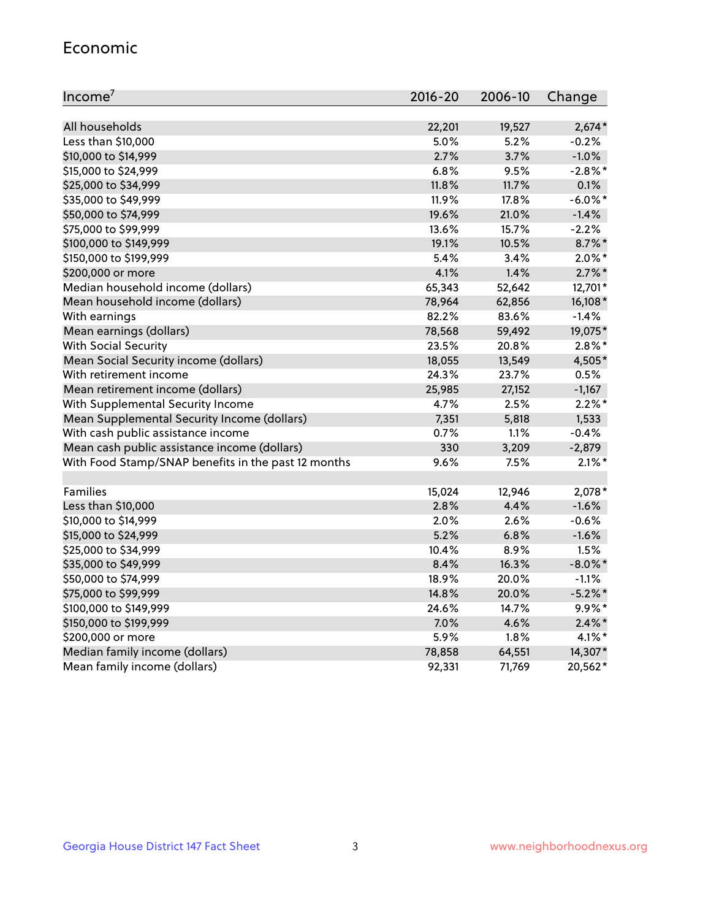#### Economic

| Income <sup>7</sup>                                 | $2016 - 20$ | 2006-10 | Change     |
|-----------------------------------------------------|-------------|---------|------------|
|                                                     |             |         |            |
| All households                                      | 22,201      | 19,527  | $2,674*$   |
| Less than \$10,000                                  | 5.0%        | 5.2%    | $-0.2%$    |
| \$10,000 to \$14,999                                | 2.7%        | 3.7%    | $-1.0%$    |
| \$15,000 to \$24,999                                | 6.8%        | 9.5%    | $-2.8\%$ * |
| \$25,000 to \$34,999                                | 11.8%       | 11.7%   | 0.1%       |
| \$35,000 to \$49,999                                | 11.9%       | 17.8%   | $-6.0\%$ * |
| \$50,000 to \$74,999                                | 19.6%       | 21.0%   | $-1.4%$    |
| \$75,000 to \$99,999                                | 13.6%       | 15.7%   | $-2.2%$    |
| \$100,000 to \$149,999                              | 19.1%       | 10.5%   | $8.7\%$ *  |
| \$150,000 to \$199,999                              | 5.4%        | 3.4%    | $2.0\%$ *  |
| \$200,000 or more                                   | 4.1%        | 1.4%    | $2.7\%$ *  |
| Median household income (dollars)                   | 65,343      | 52,642  | 12,701*    |
| Mean household income (dollars)                     | 78,964      | 62,856  | 16,108*    |
| With earnings                                       | 82.2%       | 83.6%   | $-1.4%$    |
| Mean earnings (dollars)                             | 78,568      | 59,492  | 19,075*    |
| <b>With Social Security</b>                         | 23.5%       | 20.8%   | $2.8\%$ *  |
| Mean Social Security income (dollars)               | 18,055      | 13,549  | 4,505*     |
| With retirement income                              | 24.3%       | 23.7%   | 0.5%       |
| Mean retirement income (dollars)                    | 25,985      | 27,152  | $-1,167$   |
| With Supplemental Security Income                   | 4.7%        | 2.5%    | $2.2\%$ *  |
| Mean Supplemental Security Income (dollars)         | 7,351       | 5,818   | 1,533      |
| With cash public assistance income                  | 0.7%        | 1.1%    | $-0.4%$    |
| Mean cash public assistance income (dollars)        | 330         | 3,209   | $-2,879$   |
| With Food Stamp/SNAP benefits in the past 12 months | 9.6%        | 7.5%    | $2.1\%$ *  |
|                                                     |             |         |            |
| Families                                            | 15,024      | 12,946  | 2,078*     |
| Less than \$10,000                                  | 2.8%        | 4.4%    | $-1.6%$    |
| \$10,000 to \$14,999                                | 2.0%        | 2.6%    | $-0.6%$    |
| \$15,000 to \$24,999                                | 5.2%        | 6.8%    | $-1.6%$    |
| \$25,000 to \$34,999                                | 10.4%       | 8.9%    | 1.5%       |
| \$35,000 to \$49,999                                | 8.4%        | 16.3%   | $-8.0\%$ * |
| \$50,000 to \$74,999                                | 18.9%       | 20.0%   | $-1.1%$    |
| \$75,000 to \$99,999                                | 14.8%       | 20.0%   | $-5.2\%$ * |
| \$100,000 to \$149,999                              | 24.6%       | 14.7%   | 9.9%*      |
| \$150,000 to \$199,999                              | 7.0%        | 4.6%    | $2.4\%$ *  |
| \$200,000 or more                                   | 5.9%        | 1.8%    | $4.1\%$ *  |
| Median family income (dollars)                      | 78,858      | 64,551  | 14,307*    |
| Mean family income (dollars)                        | 92,331      | 71,769  | 20,562*    |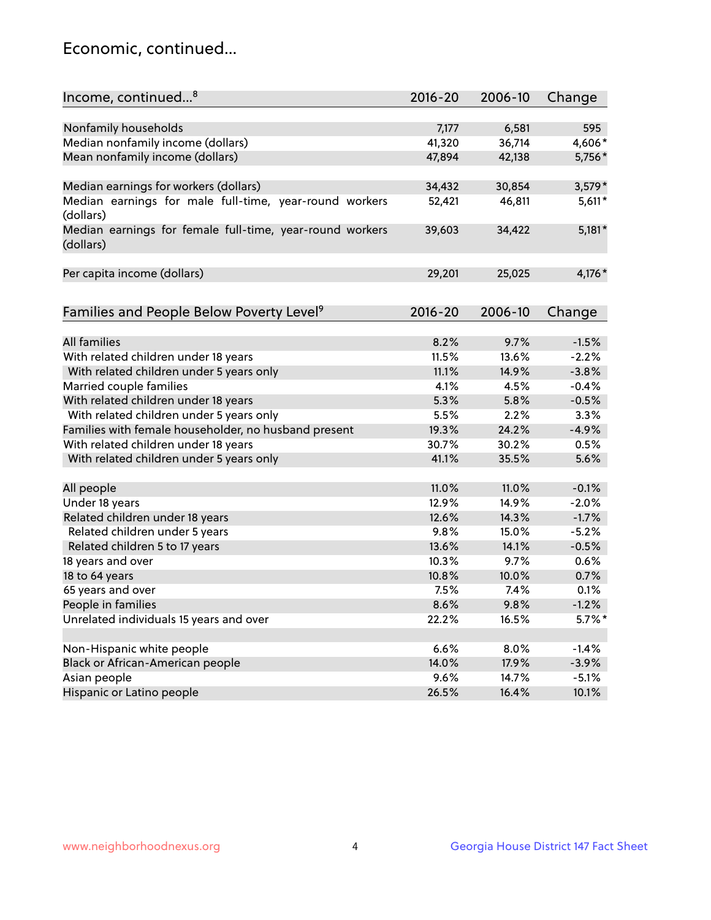## Economic, continued...

| Income, continued <sup>8</sup>                                        | $2016 - 20$ | 2006-10 | Change    |
|-----------------------------------------------------------------------|-------------|---------|-----------|
|                                                                       |             |         |           |
| Nonfamily households                                                  | 7,177       | 6,581   | 595       |
| Median nonfamily income (dollars)                                     | 41,320      | 36,714  | 4,606*    |
| Mean nonfamily income (dollars)                                       | 47,894      | 42,138  | 5,756*    |
| Median earnings for workers (dollars)                                 | 34,432      | 30,854  | $3,579*$  |
| Median earnings for male full-time, year-round workers                | 52,421      | 46,811  | $5,611*$  |
| (dollars)                                                             |             |         |           |
| Median earnings for female full-time, year-round workers<br>(dollars) | 39,603      | 34,422  | $5,181*$  |
| Per capita income (dollars)                                           | 29,201      | 25,025  | $4,176*$  |
|                                                                       |             |         |           |
| Families and People Below Poverty Level <sup>9</sup>                  | 2016-20     | 2006-10 | Change    |
|                                                                       |             |         |           |
| <b>All families</b>                                                   | 8.2%        | 9.7%    | $-1.5%$   |
| With related children under 18 years                                  | 11.5%       | 13.6%   | $-2.2%$   |
| With related children under 5 years only                              | 11.1%       | 14.9%   | $-3.8%$   |
| Married couple families                                               | 4.1%        | 4.5%    | $-0.4%$   |
| With related children under 18 years                                  | 5.3%        | 5.8%    | $-0.5%$   |
| With related children under 5 years only                              | 5.5%        | 2.2%    | 3.3%      |
| Families with female householder, no husband present                  | 19.3%       | 24.2%   | $-4.9%$   |
| With related children under 18 years                                  | 30.7%       | 30.2%   | 0.5%      |
| With related children under 5 years only                              | 41.1%       | 35.5%   | 5.6%      |
| All people                                                            | 11.0%       | 11.0%   | $-0.1%$   |
| Under 18 years                                                        | 12.9%       | 14.9%   | $-2.0%$   |
| Related children under 18 years                                       | 12.6%       | 14.3%   | $-1.7%$   |
| Related children under 5 years                                        | 9.8%        | 15.0%   | $-5.2%$   |
| Related children 5 to 17 years                                        | 13.6%       | 14.1%   | $-0.5%$   |
| 18 years and over                                                     | 10.3%       | 9.7%    | 0.6%      |
| 18 to 64 years                                                        | 10.8%       | 10.0%   | 0.7%      |
| 65 years and over                                                     | 7.5%        | 7.4%    | 0.1%      |
| People in families                                                    | 8.6%        | 9.8%    | $-1.2%$   |
| Unrelated individuals 15 years and over                               | 22.2%       | 16.5%   | $5.7\%$ * |
|                                                                       |             |         |           |
| Non-Hispanic white people                                             | 6.6%        | 8.0%    | $-1.4%$   |
| Black or African-American people                                      | 14.0%       | 17.9%   | $-3.9%$   |
| Asian people                                                          | 9.6%        | 14.7%   | $-5.1%$   |
| Hispanic or Latino people                                             | 26.5%       | 16.4%   | 10.1%     |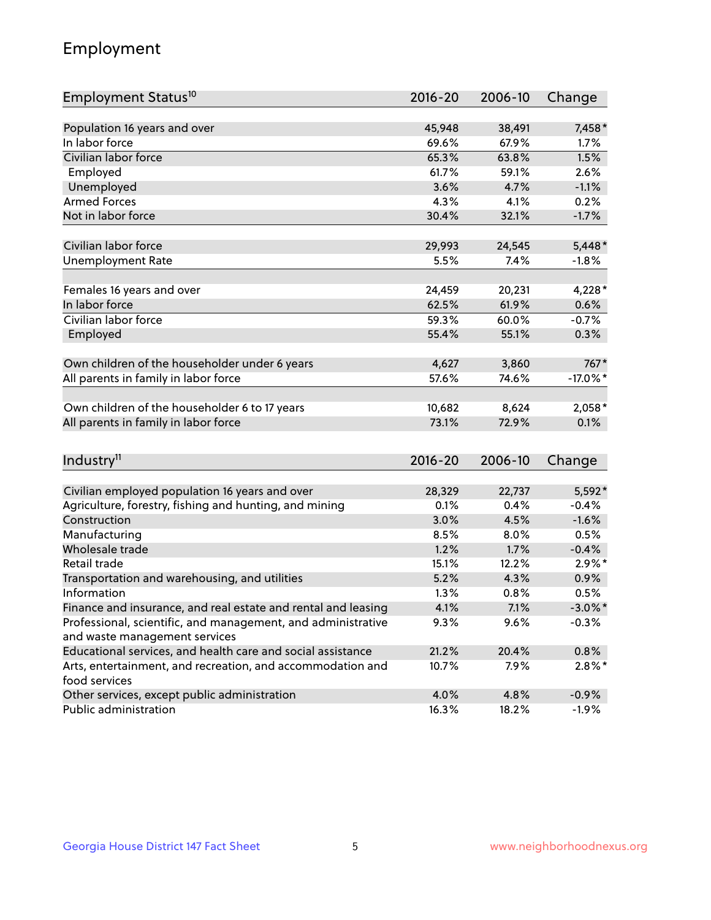## Employment

| Employment Status <sup>10</sup>                                                               | $2016 - 20$   | 2006-10       | Change               |
|-----------------------------------------------------------------------------------------------|---------------|---------------|----------------------|
|                                                                                               |               |               |                      |
| Population 16 years and over                                                                  | 45,948        | 38,491        | 7,458*               |
| In labor force                                                                                | 69.6%         | 67.9%         | 1.7%                 |
| Civilian labor force                                                                          | 65.3%         | 63.8%         | 1.5%                 |
| Employed                                                                                      | 61.7%         | 59.1%         | 2.6%                 |
| Unemployed                                                                                    | 3.6%          | 4.7%          | $-1.1%$              |
| <b>Armed Forces</b>                                                                           | 4.3%          | 4.1%          | 0.2%                 |
| Not in labor force                                                                            | 30.4%         | 32.1%         | $-1.7%$              |
| Civilian labor force                                                                          | 29,993        | 24,545        | $5,448*$             |
|                                                                                               | 5.5%          | 7.4%          | $-1.8%$              |
| <b>Unemployment Rate</b>                                                                      |               |               |                      |
| Females 16 years and over                                                                     | 24,459        | 20,231        | $4,228*$             |
| In labor force                                                                                | 62.5%         | 61.9%         | 0.6%                 |
| Civilian labor force                                                                          | 59.3%         | 60.0%         | $-0.7%$              |
| Employed                                                                                      | 55.4%         | 55.1%         | 0.3%                 |
|                                                                                               |               |               |                      |
| Own children of the householder under 6 years                                                 | 4,627         | 3,860         | 767*                 |
| All parents in family in labor force                                                          | 57.6%         | 74.6%         | $-17.0\%$ *          |
| Own children of the householder 6 to 17 years                                                 | 10,682        | 8,624         | 2,058*               |
| All parents in family in labor force                                                          | 73.1%         | 72.9%         | 0.1%                 |
|                                                                                               |               |               |                      |
| Industry <sup>11</sup>                                                                        | $2016 - 20$   | 2006-10       | Change               |
|                                                                                               |               |               |                      |
| Civilian employed population 16 years and over                                                | 28,329        | 22,737        | 5,592*               |
| Agriculture, forestry, fishing and hunting, and mining                                        | 0.1%          | 0.4%          | $-0.4%$              |
| Construction                                                                                  | 3.0%          | 4.5%          | $-1.6%$              |
| Manufacturing<br>Wholesale trade                                                              | 8.5%          | 8.0%          | 0.5%                 |
|                                                                                               | 1.2%          | 1.7%          | $-0.4%$<br>$2.9\%$ * |
| Retail trade                                                                                  | 15.1%<br>5.2% | 12.2%<br>4.3% | 0.9%                 |
| Transportation and warehousing, and utilities<br>Information                                  |               |               | 0.5%                 |
|                                                                                               | 1.3%          | 0.8%          |                      |
| Finance and insurance, and real estate and rental and leasing                                 | 4.1%          | 7.1%          | $-3.0\%$ *           |
| Professional, scientific, and management, and administrative<br>and waste management services | 9.3%          | 9.6%          | $-0.3%$              |
| Educational services, and health care and social assistance                                   | 21.2%         | 20.4%         | 0.8%                 |
| Arts, entertainment, and recreation, and accommodation and                                    | 10.7%         | 7.9%          | $2.8\%$ *            |
| food services                                                                                 |               |               |                      |
| Other services, except public administration                                                  | 4.0%          | 4.8%          | $-0.9%$              |
| Public administration                                                                         | 16.3%         | 18.2%         | $-1.9%$              |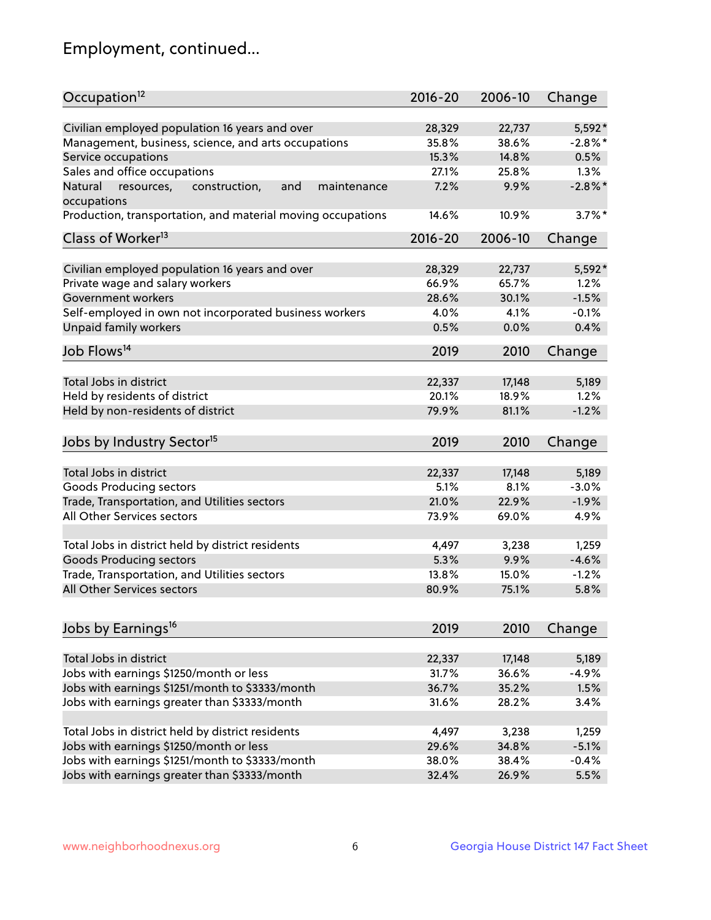## Employment, continued...

| Occupation <sup>12</sup>                                                    | $2016 - 20$ | 2006-10 | Change     |
|-----------------------------------------------------------------------------|-------------|---------|------------|
| Civilian employed population 16 years and over                              | 28,329      | 22,737  | 5,592*     |
| Management, business, science, and arts occupations                         | 35.8%       | 38.6%   | $-2.8\%$ * |
| Service occupations                                                         | 15.3%       | 14.8%   | 0.5%       |
| Sales and office occupations                                                | 27.1%       | 25.8%   | 1.3%       |
|                                                                             |             |         | $-2.8\%$ * |
| Natural<br>and<br>resources,<br>construction,<br>maintenance<br>occupations | 7.2%        | 9.9%    |            |
| Production, transportation, and material moving occupations                 | 14.6%       | 10.9%   | $3.7\%$ *  |
| Class of Worker <sup>13</sup>                                               | 2016-20     | 2006-10 | Change     |
|                                                                             |             |         |            |
| Civilian employed population 16 years and over                              | 28,329      | 22,737  | 5,592*     |
| Private wage and salary workers                                             | 66.9%       | 65.7%   | 1.2%       |
| Government workers                                                          | 28.6%       | 30.1%   | $-1.5%$    |
| Self-employed in own not incorporated business workers                      | 4.0%        | 4.1%    | $-0.1%$    |
| Unpaid family workers                                                       | 0.5%        | 0.0%    | 0.4%       |
| Job Flows <sup>14</sup>                                                     | 2019        | 2010    | Change     |
|                                                                             |             |         |            |
| Total Jobs in district                                                      | 22,337      | 17,148  | 5,189      |
| Held by residents of district                                               | 20.1%       | 18.9%   | 1.2%       |
| Held by non-residents of district                                           | 79.9%       | 81.1%   | $-1.2%$    |
| Jobs by Industry Sector <sup>15</sup>                                       | 2019        | 2010    | Change     |
|                                                                             |             |         |            |
| Total Jobs in district                                                      | 22,337      | 17,148  | 5,189      |
| Goods Producing sectors                                                     | 5.1%        | 8.1%    | $-3.0%$    |
| Trade, Transportation, and Utilities sectors                                | 21.0%       | 22.9%   | $-1.9%$    |
| All Other Services sectors                                                  | 73.9%       | 69.0%   | 4.9%       |
|                                                                             |             |         |            |
| Total Jobs in district held by district residents                           | 4,497       | 3,238   | 1,259      |
| <b>Goods Producing sectors</b>                                              | 5.3%        | 9.9%    | $-4.6%$    |
| Trade, Transportation, and Utilities sectors                                | 13.8%       | 15.0%   | $-1.2%$    |
| All Other Services sectors                                                  | 80.9%       | 75.1%   | 5.8%       |
|                                                                             |             |         |            |
| Jobs by Earnings <sup>16</sup>                                              | 2019        | 2010    | Change     |
|                                                                             |             |         |            |
| Total Jobs in district                                                      | 22,337      | 17,148  | 5,189      |
| Jobs with earnings \$1250/month or less                                     | 31.7%       | 36.6%   | $-4.9%$    |
| Jobs with earnings \$1251/month to \$3333/month                             | 36.7%       | 35.2%   | 1.5%       |
| Jobs with earnings greater than \$3333/month                                | 31.6%       | 28.2%   | 3.4%       |
|                                                                             |             |         |            |
| Total Jobs in district held by district residents                           | 4,497       | 3,238   | 1,259      |
| Jobs with earnings \$1250/month or less                                     | 29.6%       | 34.8%   | $-5.1%$    |
| Jobs with earnings \$1251/month to \$3333/month                             | 38.0%       | 38.4%   | $-0.4%$    |
| Jobs with earnings greater than \$3333/month                                | 32.4%       | 26.9%   | 5.5%       |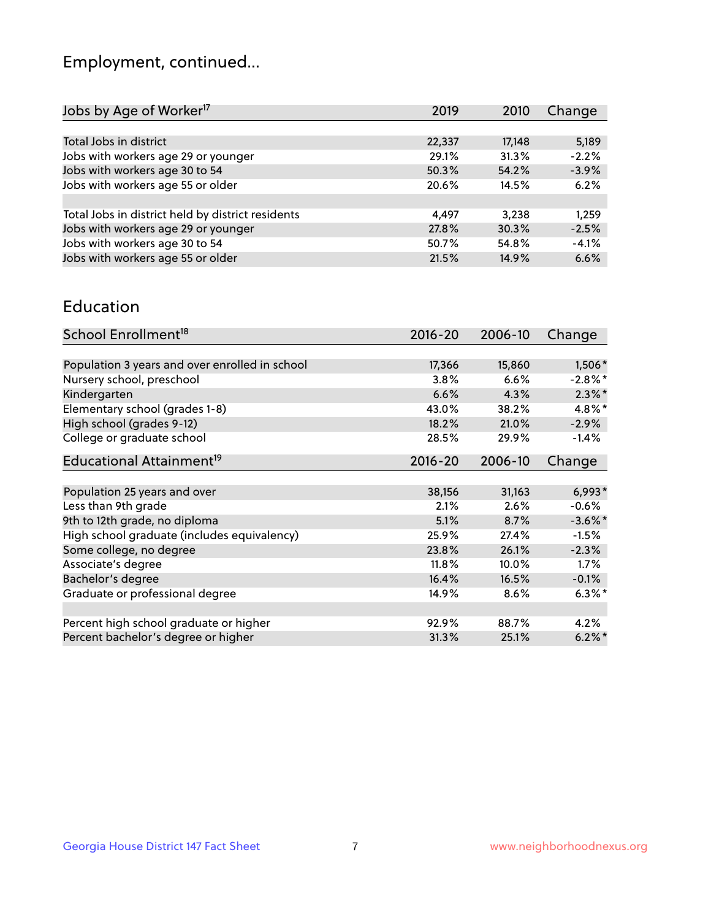## Employment, continued...

| 2019   | 2010   | Change  |
|--------|--------|---------|
|        |        |         |
| 22,337 | 17,148 | 5,189   |
| 29.1%  | 31.3%  | $-2.2%$ |
| 50.3%  | 54.2%  | $-3.9%$ |
| 20.6%  | 14.5%  | 6.2%    |
|        |        |         |
| 4.497  | 3.238  | 1,259   |
| 27.8%  | 30.3%  | $-2.5%$ |
| 50.7%  | 54.8%  | $-4.1%$ |
| 21.5%  | 14.9%  | 6.6%    |
|        |        |         |

#### Education

| School Enrollment <sup>18</sup>                | $2016 - 20$ | 2006-10 | Change     |
|------------------------------------------------|-------------|---------|------------|
|                                                |             |         |            |
| Population 3 years and over enrolled in school | 17,366      | 15,860  | $1,506*$   |
| Nursery school, preschool                      | 3.8%        | 6.6%    | $-2.8\%$ * |
| Kindergarten                                   | 6.6%        | 4.3%    | $2.3\%$ *  |
| Elementary school (grades 1-8)                 | 43.0%       | 38.2%   | 4.8%*      |
| High school (grades 9-12)                      | 18.2%       | 21.0%   | $-2.9%$    |
| College or graduate school                     | 28.5%       | 29.9%   | $-1.4%$    |
| Educational Attainment <sup>19</sup>           | $2016 - 20$ | 2006-10 | Change     |
|                                                |             |         |            |
| Population 25 years and over                   | 38,156      | 31,163  | $6,993*$   |
| Less than 9th grade                            | 2.1%        | 2.6%    | $-0.6%$    |
| 9th to 12th grade, no diploma                  | 5.1%        | 8.7%    | $-3.6\%$ * |
| High school graduate (includes equivalency)    | 25.9%       | 27.4%   | $-1.5%$    |
| Some college, no degree                        | 23.8%       | 26.1%   | $-2.3%$    |
| Associate's degree                             | 11.8%       | 10.0%   | $1.7\%$    |
| Bachelor's degree                              | 16.4%       | 16.5%   | $-0.1%$    |
| Graduate or professional degree                | 14.9%       | 8.6%    | $6.3\%$ *  |
|                                                |             |         |            |
| Percent high school graduate or higher         | 92.9%       | 88.7%   | 4.2%       |
| Percent bachelor's degree or higher            | 31.3%       | 25.1%   | $6.2\%$ *  |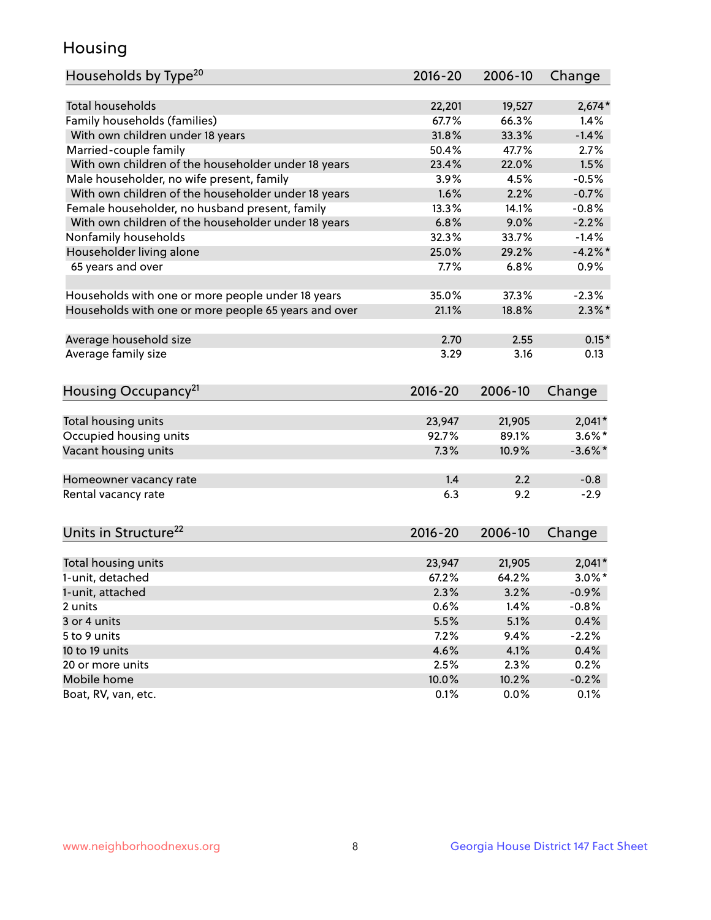## Housing

| Households by Type <sup>20</sup>                     | 2016-20     | 2006-10 | Change     |
|------------------------------------------------------|-------------|---------|------------|
|                                                      |             |         |            |
| <b>Total households</b>                              | 22,201      | 19,527  | $2,674*$   |
| Family households (families)                         | 67.7%       | 66.3%   | 1.4%       |
| With own children under 18 years                     | 31.8%       | 33.3%   | $-1.4%$    |
| Married-couple family                                | 50.4%       | 47.7%   | 2.7%       |
| With own children of the householder under 18 years  | 23.4%       | 22.0%   | 1.5%       |
| Male householder, no wife present, family            | 3.9%        | 4.5%    | $-0.5%$    |
| With own children of the householder under 18 years  | 1.6%        | 2.2%    | $-0.7%$    |
| Female householder, no husband present, family       | 13.3%       | 14.1%   | $-0.8%$    |
| With own children of the householder under 18 years  | 6.8%        | 9.0%    | $-2.2%$    |
| Nonfamily households                                 | 32.3%       | 33.7%   | $-1.4%$    |
| Householder living alone                             | 25.0%       | 29.2%   | $-4.2%$    |
| 65 years and over                                    | 7.7%        | 6.8%    | 0.9%       |
|                                                      |             |         |            |
| Households with one or more people under 18 years    | 35.0%       | 37.3%   | $-2.3%$    |
| Households with one or more people 65 years and over | 21.1%       | 18.8%   | $2.3\%$ *  |
|                                                      |             |         |            |
| Average household size                               | 2.70        | 2.55    | $0.15*$    |
| Average family size                                  | 3.29        | 3.16    | 0.13       |
|                                                      |             |         |            |
| Housing Occupancy <sup>21</sup>                      | $2016 - 20$ | 2006-10 | Change     |
|                                                      |             |         |            |
| Total housing units                                  | 23,947      | 21,905  | $2,041*$   |
| Occupied housing units                               | 92.7%       | 89.1%   | $3.6\%$ *  |
| Vacant housing units                                 | 7.3%        | 10.9%   | $-3.6\%$ * |
|                                                      |             |         |            |
| Homeowner vacancy rate                               | 1.4         | 2.2     | $-0.8$     |
| Rental vacancy rate                                  | 6.3         | 9.2     | $-2.9$     |
|                                                      |             |         |            |
| Units in Structure <sup>22</sup>                     | $2016 - 20$ | 2006-10 | Change     |
|                                                      |             |         |            |
| Total housing units                                  | 23,947      | 21,905  | $2,041*$   |
| 1-unit, detached                                     | 67.2%       | 64.2%   | $3.0\%$ *  |
| 1-unit, attached                                     | 2.3%        | 3.2%    | $-0.9%$    |
| 2 units                                              | 0.6%        | 1.4%    | $-0.8%$    |
| 3 or 4 units                                         | 5.5%        | 5.1%    | 0.4%       |
| 5 to 9 units                                         | 7.2%        | 9.4%    | $-2.2%$    |
| 10 to 19 units                                       | 4.6%        | 4.1%    | 0.4%       |
| 20 or more units                                     | 2.5%        | 2.3%    | 0.2%       |
| Mobile home                                          | 10.0%       | 10.2%   | $-0.2%$    |
|                                                      |             |         |            |
| Boat, RV, van, etc.                                  | 0.1%        | 0.0%    | 0.1%       |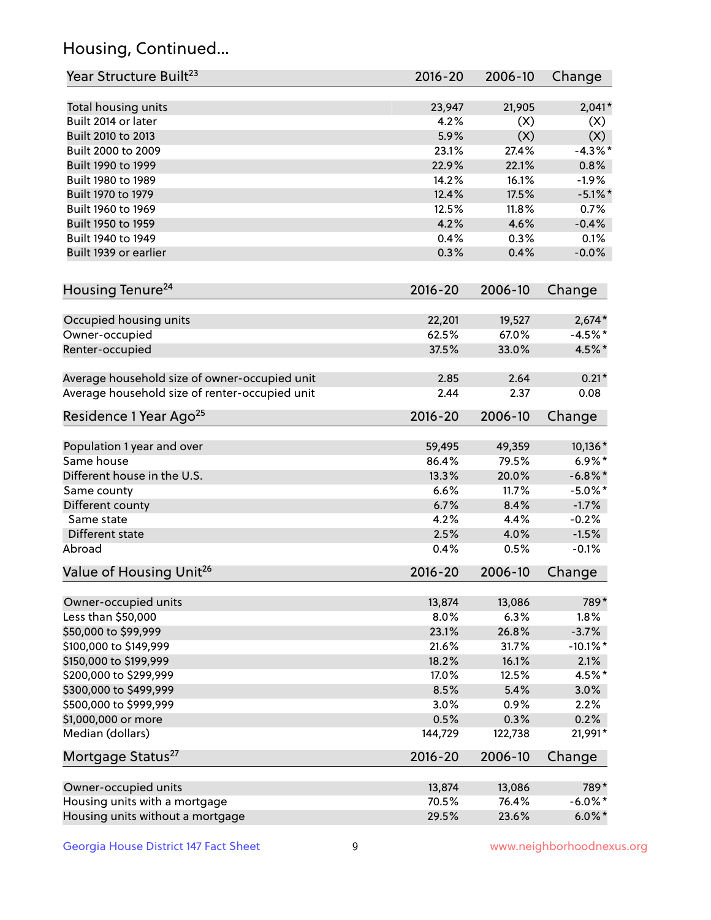## Housing, Continued...

| Year Structure Built <sup>23</sup>             | 2016-20     | 2006-10 | Change      |
|------------------------------------------------|-------------|---------|-------------|
| Total housing units                            | 23,947      | 21,905  | $2,041*$    |
| Built 2014 or later                            | 4.2%        | (X)     | (X)         |
| Built 2010 to 2013                             | 5.9%        | (X)     | (X)         |
| Built 2000 to 2009                             | 23.1%       | 27.4%   | $-4.3\%$ *  |
| Built 1990 to 1999                             | 22.9%       | 22.1%   | 0.8%        |
| Built 1980 to 1989                             | 14.2%       | 16.1%   | $-1.9%$     |
| Built 1970 to 1979                             | 12.4%       | 17.5%   | $-5.1\%$ *  |
| Built 1960 to 1969                             | 12.5%       | 11.8%   | 0.7%        |
| Built 1950 to 1959                             | 4.2%        | 4.6%    | $-0.4%$     |
| Built 1940 to 1949                             | 0.4%        | 0.3%    | 0.1%        |
| Built 1939 or earlier                          | 0.3%        | 0.4%    | $-0.0%$     |
| Housing Tenure <sup>24</sup>                   | 2016-20     | 2006-10 | Change      |
| Occupied housing units                         | 22,201      | 19,527  | $2,674*$    |
| Owner-occupied                                 | 62.5%       | 67.0%   | $-4.5%$ *   |
| Renter-occupied                                | 37.5%       | 33.0%   | 4.5%*       |
| Average household size of owner-occupied unit  | 2.85        | 2.64    | $0.21*$     |
| Average household size of renter-occupied unit | 2.44        | 2.37    | 0.08        |
| Residence 1 Year Ago <sup>25</sup>             | 2016-20     | 2006-10 | Change      |
| Population 1 year and over                     | 59,495      | 49,359  | 10,136*     |
| Same house                                     | 86.4%       | 79.5%   | $6.9\%*$    |
| Different house in the U.S.                    | 13.3%       | 20.0%   | $-6.8\%$ *  |
| Same county                                    | 6.6%        | 11.7%   | $-5.0\%$ *  |
| Different county                               | 6.7%        | 8.4%    | $-1.7%$     |
| Same state                                     | 4.2%        | 4.4%    | $-0.2%$     |
| Different state                                | 2.5%        | 4.0%    | $-1.5%$     |
| Abroad                                         | 0.4%        | 0.5%    | $-0.1%$     |
| Value of Housing Unit <sup>26</sup>            | $2016 - 20$ | 2006-10 | Change      |
| Owner-occupied units                           | 13,874      | 13,086  | 789*        |
| Less than \$50,000                             | 8.0%        | 6.3%    | 1.8%        |
| \$50,000 to \$99,999                           | 23.1%       | 26.8%   | $-3.7%$     |
| \$100,000 to \$149,999                         | 21.6%       | 31.7%   | $-10.1\%$ * |
| \$150,000 to \$199,999                         | 18.2%       | 16.1%   | 2.1%        |
| \$200,000 to \$299,999                         | 17.0%       | 12.5%   | 4.5%*       |
| \$300,000 to \$499,999                         | 8.5%        | 5.4%    | 3.0%        |
| \$500,000 to \$999,999                         | 3.0%        | 0.9%    | 2.2%        |
| \$1,000,000 or more                            | 0.5%        | 0.3%    | 0.2%        |
| Median (dollars)                               | 144,729     | 122,738 | 21,991*     |
| Mortgage Status <sup>27</sup>                  | $2016 - 20$ | 2006-10 | Change      |
| Owner-occupied units                           | 13,874      | 13,086  | 789*        |
| Housing units with a mortgage                  | 70.5%       | 76.4%   | $-6.0\%$ *  |
| Housing units without a mortgage               | 29.5%       | 23.6%   | $6.0\%$ *   |
|                                                |             |         |             |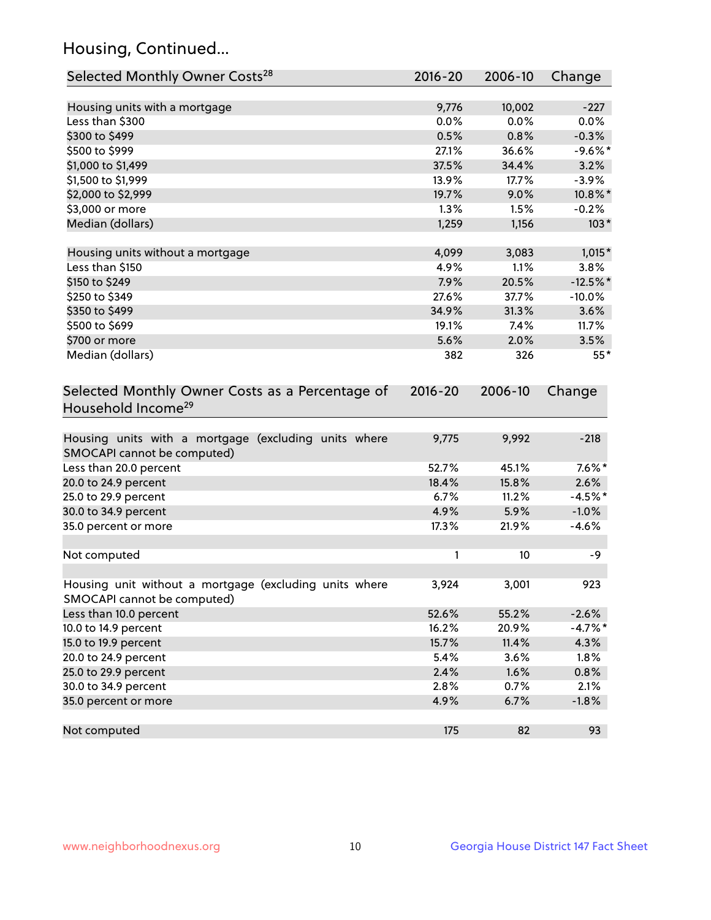## Housing, Continued...

| Selected Monthly Owner Costs <sup>28</sup>                                             | 2016-20 | 2006-10 | Change    |
|----------------------------------------------------------------------------------------|---------|---------|-----------|
| Housing units with a mortgage                                                          | 9,776   | 10,002  | $-227$    |
| Less than \$300                                                                        | 0.0%    | 0.0%    | 0.0%      |
| \$300 to \$499                                                                         | 0.5%    | 0.8%    | $-0.3%$   |
| \$500 to \$999                                                                         | 27.1%   | 36.6%   | $-9.6%$ * |
| \$1,000 to \$1,499                                                                     | 37.5%   | 34.4%   | 3.2%      |
| \$1,500 to \$1,999                                                                     | 13.9%   | 17.7%   | $-3.9%$   |
| \$2,000 to \$2,999                                                                     | 19.7%   | 9.0%    | 10.8%*    |
| \$3,000 or more                                                                        | 1.3%    | 1.5%    | $-0.2%$   |
| Median (dollars)                                                                       | 1,259   | 1,156   | $103*$    |
| Housing units without a mortgage                                                       | 4,099   | 3,083   | $1,015*$  |
| Less than \$150                                                                        | 4.9%    | 1.1%    | 3.8%      |
| \$150 to \$249                                                                         | 7.9%    | 20.5%   | $-12.5%$  |
| \$250 to \$349                                                                         | 27.6%   | 37.7%   | $-10.0%$  |
| \$350 to \$499                                                                         | 34.9%   | 31.3%   | 3.6%      |
| \$500 to \$699                                                                         | 19.1%   | 7.4%    | 11.7%     |
| \$700 or more                                                                          | 5.6%    | 2.0%    | 3.5%      |
| Median (dollars)                                                                       | 382     | 326     | $55*$     |
| Household Income <sup>29</sup><br>Housing units with a mortgage (excluding units where | 9,775   | 9,992   | $-218$    |
| SMOCAPI cannot be computed)                                                            |         |         |           |
| Less than 20.0 percent                                                                 | 52.7%   | 45.1%   | $7.6\%$ * |
| 20.0 to 24.9 percent                                                                   | 18.4%   | 15.8%   | 2.6%      |
| 25.0 to 29.9 percent                                                                   | 6.7%    | 11.2%   | $-4.5%$ * |
| 30.0 to 34.9 percent                                                                   | 4.9%    | 5.9%    | $-1.0%$   |
| 35.0 percent or more                                                                   | 17.3%   | 21.9%   | $-4.6%$   |
| Not computed                                                                           | 1       | 10      | -9        |
| Housing unit without a mortgage (excluding units where<br>SMOCAPI cannot be computed)  | 3,924   | 3,001   | 923       |
| Less than 10.0 percent                                                                 | 52.6%   | 55.2%   | $-2.6%$   |
| 10.0 to 14.9 percent                                                                   | 16.2%   | 20.9%   | $-4.7%$ * |
| 15.0 to 19.9 percent                                                                   | 15.7%   | 11.4%   | 4.3%      |
| 20.0 to 24.9 percent                                                                   | 5.4%    | 3.6%    | 1.8%      |
| 25.0 to 29.9 percent                                                                   | 2.4%    | 1.6%    | 0.8%      |
| 30.0 to 34.9 percent                                                                   | 2.8%    | 0.7%    | 2.1%      |
| 35.0 percent or more                                                                   | 4.9%    | 6.7%    | $-1.8%$   |
| Not computed                                                                           | 175     | 82      | 93        |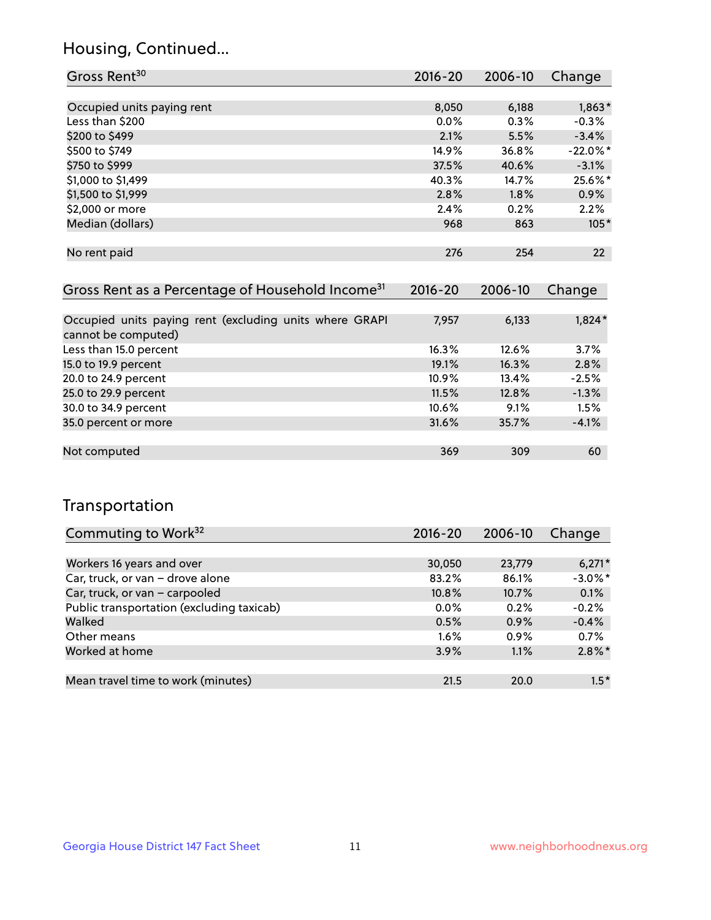## Housing, Continued...

| Gross Rent <sup>30</sup>                                     | 2016-20     | 2006-10 | Change      |
|--------------------------------------------------------------|-------------|---------|-------------|
|                                                              |             |         |             |
| Occupied units paying rent                                   | 8,050       | 6,188   | $1,863*$    |
| Less than \$200                                              | $0.0\%$     | 0.3%    | $-0.3%$     |
| \$200 to \$499                                               | 2.1%        | 5.5%    | $-3.4%$     |
| \$500 to \$749                                               | 14.9%       | 36.8%   | $-22.0\%$ * |
| \$750 to \$999                                               | 37.5%       | 40.6%   | $-3.1%$     |
| \$1,000 to \$1,499                                           | 40.3%       | 14.7%   | 25.6%*      |
| \$1,500 to \$1,999                                           | 2.8%        | 1.8%    | 0.9%        |
| \$2,000 or more                                              | 2.4%        | 0.2%    | 2.2%        |
| Median (dollars)                                             | 968         | 863     | $105*$      |
|                                                              |             |         |             |
| No rent paid                                                 | 276         | 254     | 22          |
|                                                              |             |         |             |
| Gross Rent as a Percentage of Household Income <sup>31</sup> | $2016 - 20$ | 2006-10 | Change      |
|                                                              |             |         |             |
| Occupied units paying rent (excluding units where GRAPI      | 7,957       | 6,133   | $1,824*$    |
| cannot be computed)                                          |             |         |             |
| Less than 15.0 percent                                       | 16.3%       | 12.6%   | 3.7%        |
| 15.0 to 19.9 percent                                         | 19.1%       | 16.3%   | 2.8%        |
| 20.0 to 24.9 percent                                         | 10.9%       | 13.4%   | $-2.5%$     |
| 25.0 to 29.9 percent                                         | 11.5%       | 12.8%   | $-1.3%$     |
| 30.0 to 34.9 percent                                         | 10.6%       | 9.1%    | 1.5%        |
| 35.0 percent or more                                         | 31.6%       | 35.7%   | $-4.1%$     |
|                                                              |             |         |             |
| Not computed                                                 | 369         | 309     | 60          |

## Transportation

| Commuting to Work <sup>32</sup>           | 2016-20 | 2006-10 | Change     |
|-------------------------------------------|---------|---------|------------|
|                                           |         |         |            |
| Workers 16 years and over                 | 30,050  | 23,779  | $6,271*$   |
| Car, truck, or van - drove alone          | 83.2%   | 86.1%   | $-3.0\%$ * |
| Car, truck, or van - carpooled            | 10.8%   | 10.7%   | 0.1%       |
| Public transportation (excluding taxicab) | $0.0\%$ | 0.2%    | $-0.2%$    |
| Walked                                    | 0.5%    | 0.9%    | $-0.4%$    |
| Other means                               | $1.6\%$ | 0.9%    | 0.7%       |
| Worked at home                            | 3.9%    | 1.1%    | $2.8\%$ *  |
|                                           |         |         |            |
| Mean travel time to work (minutes)        | 21.5    | 20.0    | $1.5*$     |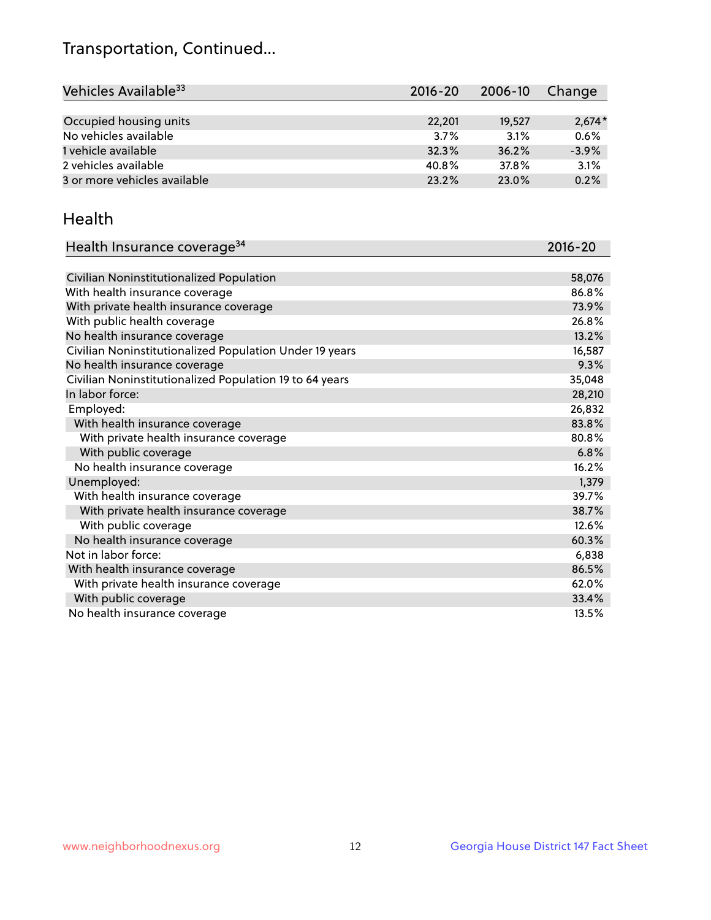## Transportation, Continued...

| Vehicles Available <sup>33</sup> | 2016-20 | 2006-10 | Change   |
|----------------------------------|---------|---------|----------|
|                                  |         |         |          |
| Occupied housing units           | 22,201  | 19,527  | $2,674*$ |
| No vehicles available            | 3.7%    | 3.1%    | 0.6%     |
| 1 vehicle available              | 32.3%   | 36.2%   | $-3.9%$  |
| 2 vehicles available             | 40.8%   | 37.8%   | 3.1%     |
| 3 or more vehicles available     | 23.2%   | 23.0%   | 0.2%     |

#### Health

| Health Insurance coverage <sup>34</sup>                 | 2016-20 |
|---------------------------------------------------------|---------|
|                                                         |         |
| Civilian Noninstitutionalized Population                | 58,076  |
| With health insurance coverage                          | 86.8%   |
| With private health insurance coverage                  | 73.9%   |
| With public health coverage                             | 26.8%   |
| No health insurance coverage                            | 13.2%   |
| Civilian Noninstitutionalized Population Under 19 years | 16,587  |
| No health insurance coverage                            | 9.3%    |
| Civilian Noninstitutionalized Population 19 to 64 years | 35,048  |
| In labor force:                                         | 28,210  |
| Employed:                                               | 26,832  |
| With health insurance coverage                          | 83.8%   |
| With private health insurance coverage                  | 80.8%   |
| With public coverage                                    | 6.8%    |
| No health insurance coverage                            | 16.2%   |
| Unemployed:                                             | 1,379   |
| With health insurance coverage                          | 39.7%   |
| With private health insurance coverage                  | 38.7%   |
| With public coverage                                    | 12.6%   |
| No health insurance coverage                            | 60.3%   |
| Not in labor force:                                     | 6,838   |
| With health insurance coverage                          | 86.5%   |
| With private health insurance coverage                  | 62.0%   |
| With public coverage                                    | 33.4%   |
| No health insurance coverage                            | 13.5%   |